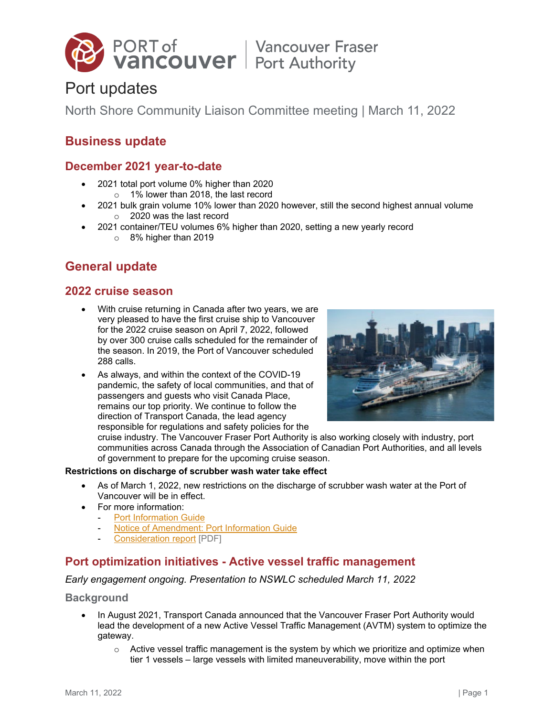

# Port updates

North Shore Community Liaison Committee meeting | March 11, 2022

# **Business update**

# **December 2021 year-to-date**

- 2021 total port volume 0% higher than 2020 o 1% lower than 2018, the last record
	- 2021 bulk grain volume 10% lower than 2020 however, still the second highest annual volume o 2020 was the last record
- 2021 container/TEU volumes 6% higher than 2020, setting a new yearly record
	- o 8% higher than 2019

# **General update**

### **2022 cruise season**

- With cruise returning in Canada after two years, we are very pleased to have the first cruise ship to Vancouver for the 2022 cruise season on April 7, 2022, followed by over 300 cruise calls scheduled for the remainder of the season. In 2019, the Port of Vancouver scheduled 288 calls.
- As always, and within the context of the COVID-19 pandemic, the safety of local communities, and that of passengers and guests who visit Canada Place, remains our top priority. We continue to follow the direction of Transport Canada, the lead agency responsible for regulations and safety policies for the



cruise industry. The Vancouver Fraser Port Authority is also working closely with industry, port communities across Canada through the Association of Canadian Port Authorities, and all levels of government to prepare for the upcoming cruise season.

#### **Restrictions on discharge of scrubber wash water take effect**

- As of March 1, 2022, new restrictions on the discharge of scrubber wash water at the Port of Vancouver will be in effect.
- For more information:
	- [Port Information Guide](https://www.portvancouver.com/marine-operations/port-information-guide/)
	- [Notice of Amendment: Port Information Guide](https://www.portvancouver.com/about-us/information-updates/notice-of-amendment-port-information-guide-4/)
	- [Consideration report](https://www.portvancouver.com/wp-content/uploads/2022/02/2022-02-07-Consideration-Report_final.pdf) [PDF]

# **Port optimization initiatives - Active vessel traffic management**

#### *Early engagement ongoing. Presentation to NSWLC scheduled March 11, 2022*

#### **Background**

- In August 2021, Transport Canada announced that the Vancouver Fraser Port Authority would lead the development of a new Active Vessel Traffic Management (AVTM) system to optimize the gateway.
	- $\circ$  Active vessel traffic management is the system by which we prioritize and optimize when tier 1 vessels – large vessels with limited maneuverability, move within the port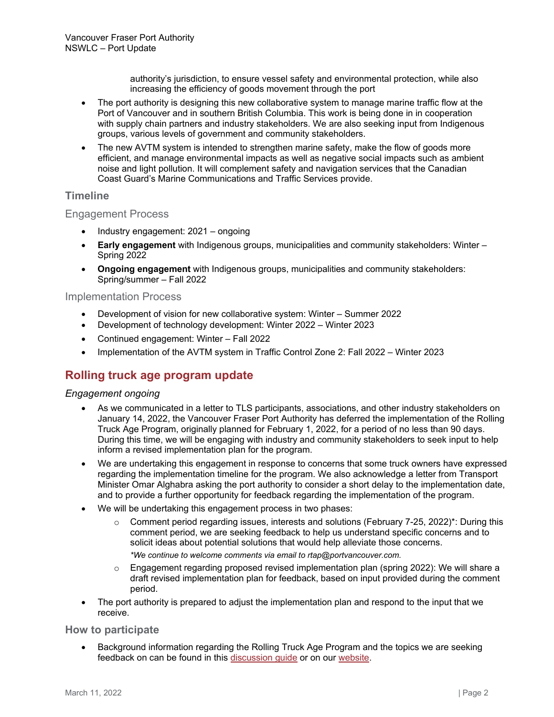authority's jurisdiction, to ensure vessel safety and environmental protection, while also increasing the efficiency of goods movement through the port

- The port authority is designing this new collaborative system to manage marine traffic flow at the Port of Vancouver and in southern British Columbia. This work is being done in in cooperation with supply chain partners and industry stakeholders. We are also seeking input from Indigenous groups, various levels of government and community stakeholders.
- The new AVTM system is intended to strengthen marine safety, make the flow of goods more efficient, and manage environmental impacts as well as negative social impacts such as ambient noise and light pollution. It will complement safety and navigation services that the Canadian Coast Guard's Marine Communications and Traffic Services provide.

### **Timeline**

### Engagement Process

- Industry engagement: 2021 ongoing
- **Early engagement** with Indigenous groups, municipalities and community stakeholders: Winter Spring 2022
- **Ongoing engagement** with Indigenous groups, municipalities and community stakeholders: Spring/summer – Fall 2022

#### Implementation Process

- Development of vision for new collaborative system: Winter Summer 2022
- Development of technology development: Winter 2022 Winter 2023
- Continued engagement: Winter Fall 2022
- Implementation of the AVTM system in Traffic Control Zone 2: Fall 2022 Winter 2023

# **Rolling truck age program update**

#### *Engagement ongoing*

- As we communicated in a letter to TLS participants, associations, and other industry stakeholders on January 14, 2022, the Vancouver Fraser Port Authority has deferred the implementation of the Rolling Truck Age Program, originally planned for February 1, 2022, for a period of no less than 90 days. During this time, we will be engaging with industry and community stakeholders to seek input to help inform a revised implementation plan for the program.
- We are undertaking this engagement in response to concerns that some truck owners have expressed regarding the implementation timeline for the program. We also acknowledge a letter from Transport Minister Omar Alghabra asking the port authority to consider a short delay to the implementation date, and to provide a further opportunity for feedback regarding the implementation of the program.
- We will be undertaking this engagement process in two phases:
	- o Comment period regarding issues, interests and solutions (February 7-25, 2022)\*: During this comment period, we are seeking feedback to help us understand specific concerns and to solicit ideas about potential solutions that would help alleviate those concerns.
		- *\*We continue to welcome comments via email to [rtap@portvancouver.com.](mailto:rtap@portvancouver.com)*
	- o Engagement regarding proposed revised implementation plan (spring 2022): We will share a draft revised implementation plan for feedback, based on input provided during the comment period.
- The port authority is prepared to adjust the implementation plan and respond to the input that we receive.

#### **How to participate**

• Background information regarding the Rolling Truck Age Program and the topics we are seeking feedback on can be found in this [discussion guide](https://can01.safelinks.protection.outlook.com/?url=https%3A%2F%2Fwww.portvancouver.com%2Fwp-content%2Fuploads%2F2022%2F02%2FFebruary-2022-Comment-period-discussion-guide-English-Rolling-Truck-Age-Program.pdf&data=04%7C01%7CNaomi.Horsford%40portvancouver.com%7C2b9a30729e8e4310072108d9f631c108%7C1297c82c23524c6cb0d09add5a067668%7C0%7C0%7C637811517204701595%7CUnknown%7CTWFpbGZsb3d8eyJWIjoiMC4wLjAwMDAiLCJQIjoiV2luMzIiLCJBTiI6Ik1haWwiLCJXVCI6Mn0%3D%7C1000&sdata=mCfDBcv7YTnHFZH6rykVDyvVxbVYNcmmn6S1dAKX8WI%3D&reserved=0) or on our [website.](https://www.portvancouver.com/about-us/faq/rolling-truck-age-program/)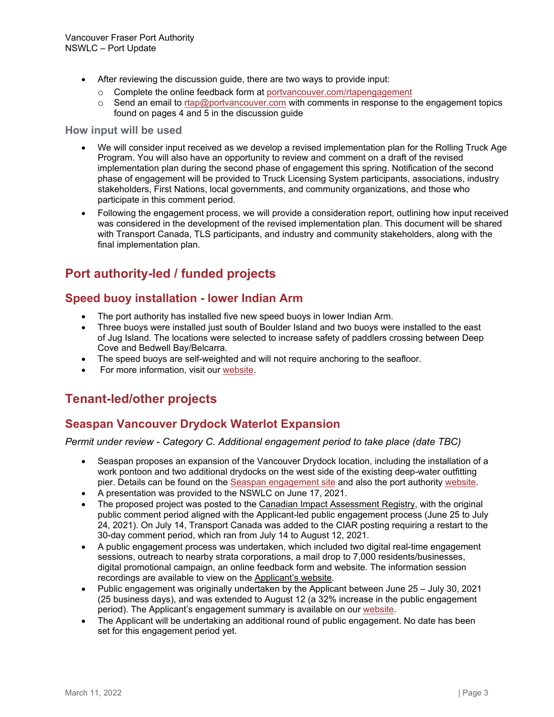- After reviewing the discussion guide, there are two ways to provide input:
	- Complete the online feedback form at <u>[portvancouver.com/rtapengagement](https://can01.safelinks.protection.outlook.com/?url=http%3A%2F%2Fwww.portvancouver.com%2Frtapengagement&data=04%7C01%7CNaomi.Horsford%40portvancouver.com%7C2b9a30729e8e4310072108d9f631c108%7C1297c82c23524c6cb0d09add5a067668%7C0%7C0%7C637811517204701595%7CUnknown%7CTWFpbGZsb3d8eyJWIjoiMC4wLjAwMDAiLCJQIjoiV2luMzIiLCJBTiI6Ik1haWwiLCJXVCI6Mn0%3D%7C1000&sdata=waGEGltJkmce75mistJwkO%2B1Eh0conK%2BwbyuCIE%2BrkE%3D&reserved=0)</u><br>○ Send an email to rtap@portvancouver.com with comments in response to t
	- Send an email to [rtap@portvancouver.com](mailto:rtap@portvancouver.com) with comments in response to the engagement topics found on pages 4 and 5 in the discussion guide

#### **How input will be used**

- We will consider input received as we develop a revised implementation plan for the Rolling Truck Age Program. You will also have an opportunity to review and comment on a draft of the revised implementation plan during the second phase of engagement this spring. Notification of the second phase of engagement will be provided to Truck Licensing System participants, associations, industry stakeholders, First Nations, local governments, and community organizations, and those who participate in this comment period.
- Following the engagement process, we will provide a consideration report, outlining how input received was considered in the development of the revised implementation plan. This document will be shared with Transport Canada, TLS participants, and industry and community stakeholders, along with the final implementation plan.

# **Port authority-led / funded projects**

# **Speed buoy installation - lower Indian Arm**

- The port authority has installed five new speed buoys in lower Indian Arm.
- Three buoys were installed just south of Boulder Island and two buoys were installed to the east of Jug Island. The locations were selected to increase safety of paddlers crossing between Deep Cove and Bedwell Bay/Belcarra.
- The speed buoys are self-weighted and will not require anchoring to the seafloor.
- For more information, visit our [website.](https://www.portvancouver.com/permitting-and-reviews/per/project-and-environment-review-applicant/status-of-permit-applications/46146-2/)

# **Tenant-led/other projects**

# **Seaspan Vancouver Drydock Waterlot Expansion**

#### *Permit under review - Category C. Additional engagement period to take place (date TBC)*

- Seaspan proposes an expansion of the Vancouver Drydock location, including the installation of a work pontoon and two additional drydocks on the west side of the existing deep-water outfitting pier. Details can be found on the [Seaspan engagement site](https://drydockprojects.com/hearing-from-you/) and also the port authority [website.](https://www.portvancouver.com/permitting-and-reviews/per/project-and-environment-review-applicant/status-of-permit-applications/seaspan-vancouver-drydock-water-lot-expansion/)
- A presentation was provided to the NSWLC on June 17, 2021.
- The proposed project was posted to the [Canadian Impact Assessment Registry,](https://iaac-aeic.gc.ca/050/evaluations/proj/81743) with the original public comment period aligned with the Applicant-led public engagement process (June 25 to July 24, 2021). On July 14, Transport Canada was added to the CIAR posting requiring a restart to the 30-day comment period, which ran from July 14 to August 12, 2021.
- A public engagement process was undertaken, which included two digital real-time engagement sessions, outreach to nearby strata corporations, a mail drop to 7,000 residents/businesses, digital promotional campaign, an online feedback form and website. The information session recordings are available to view on the [Applicant's website.](https://drydockprojects.com/community-meetings/)
- Public engagement was originally undertaken by the Applicant between June 25 July 30, 2021 (25 business days), and was extended to August 12 (a 32% increase in the public engagement period). The Applicant's engagement summary is available on our [website.](https://www.portvancouver.com/permitting-and-reviews/per/project-and-environment-review-applicant/status-of-permit-applications/seaspan-vancouver-drydock-water-lot-expansion/)
- The Applicant will be undertaking an additional round of public engagement. No date has been set for this engagement period yet.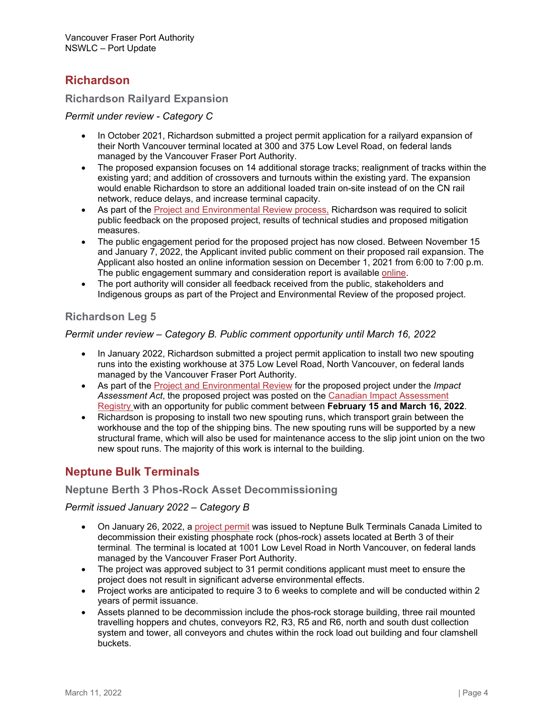# **Richardson**

### **Richardson Railyard Expansion**

#### *Permit under review - Category C*

- In October 2021, Richardson submitted a project permit application for a railyard expansion of their North Vancouver terminal located at 300 and 375 Low Level Road, on federal lands managed by the Vancouver Fraser Port Authority.
- The proposed expansion focuses on 14 additional storage tracks; realignment of tracks within the existing yard; and addition of crossovers and turnouts within the existing yard. The expansion would enable Richardson to store an additional loaded train on-site instead of on the CN rail network, reduce delays, and increase terminal capacity.
- As part of the [Project and Environmental Review process,](https://www.portvancouver.com/permitting-and-reviews/per/) Richardson was required to solicit public feedback on the proposed project, results of technical studies and proposed mitigation measures.
- The public engagement period for the proposed project has now closed. Between November 15 and January 7, 2022, the Applicant invited public comment on their proposed rail expansion. The Applicant also hosted an online information session on December 1, 2021 from 6:00 to 7:00 p.m. The public engagement summary and consideration report is available [online.](https://www.portvancouver.com/permitting-and-reviews/per/project-and-environment-review-applicant/status-of-permit-applications/richardson-railyard-expansion/)
- The port authority will consider all feedback received from the public, stakeholders and Indigenous groups as part of the Project and Environmental Review of the proposed project.

### **Richardson Leg 5**

### *Permit under review – Category B. Public comment opportunity until March 16, 2022*

- In January 2022, Richardson submitted a project permit application to install two new spouting runs into the existing workhouse at 375 Low Level Road, North Vancouver, on federal lands managed by the Vancouver Fraser Port Authority.
- As part of the [Project and Environmental Review](https://www.portvancouver.com/permitting-and-reviews/per/) for the proposed project under the *Impact Assessment Act*, the proposed project was posted on the [Canadian Impact Assessment](https://iaac-aeic.gc.ca/050/evaluations/proj/83371)  [Registry](https://iaac-aeic.gc.ca/050/evaluations/proj/83371) with an opportunity for public comment between **February 15 and March 16, 2022**.
- Richardson is proposing to install two new spouting runs, which transport grain between the workhouse and the top of the shipping bins. The new spouting runs will be supported by a new structural frame, which will also be used for maintenance access to the slip joint union on the two new spout runs. The majority of this work is internal to the building.

# **Neptune Bulk Terminals**

### **Neptune Berth 3 Phos-Rock Asset Decommissioning**

### *Permit issued January 2022 – Category B*

- On January 26, 2022, a [project permit](https://www.portvancouver.com/wp-content/uploads/2021/11/2022-01-26-WEB-COPY_PER-No.-21-108-Neptune-Terminals-Neptune-Berth-3-Phos-Rock-Asset-Decommissioning.pdf) was issued to Neptune Bulk Terminals Canada Limited to decommission their existing phosphate rock (phos-rock) assets located at Berth 3 of their terminal*.* The terminal is located at 1001 Low Level Road in North Vancouver, on federal lands managed by the Vancouver Fraser Port Authority.
- The project was approved subject to 31 permit conditions applicant must meet to ensure the project does not result in significant adverse environmental effects.
- Project works are anticipated to require 3 to 6 weeks to complete and will be conducted within 2 years of permit issuance.
- Assets planned to be decommission include the phos-rock storage building, three rail mounted travelling hoppers and chutes, conveyors R2, R3, R5 and R6, north and south dust collection system and tower, all conveyors and chutes within the rock load out building and four clamshell buckets.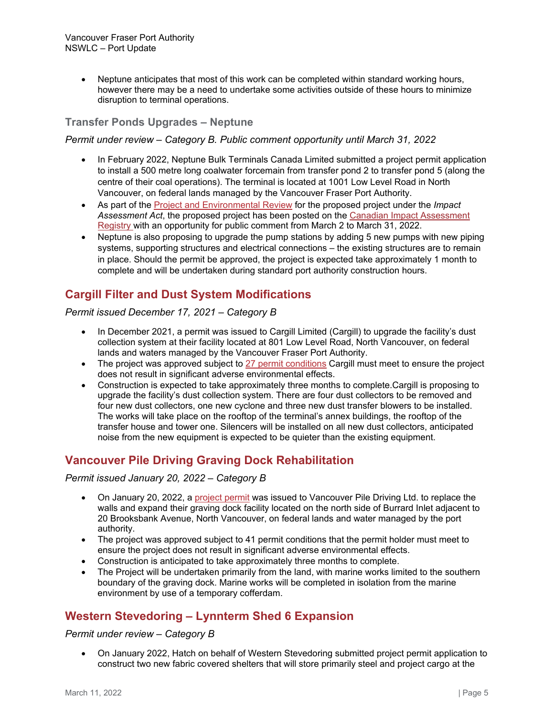• Neptune anticipates that most of this work can be completed within standard working hours, however there may be a need to undertake some activities outside of these hours to minimize disruption to terminal operations.

### **Transfer Ponds Upgrades – Neptune**

#### *Permit under review – Category B. Public comment opportunity until March 31, 2022*

- In February 2022, Neptune Bulk Terminals Canada Limited submitted a project permit application to install a 500 metre long coalwater forcemain from transfer pond 2 to transfer pond 5 (along the centre of their coal operations). The terminal is located at 1001 Low Level Road in North Vancouver, on federal lands managed by the Vancouver Fraser Port Authority.
- As part of the [Project and Environmental Review](https://www.portvancouver.com/permitting-and-reviews/per/) for the proposed project under the *Impact Assessment Act*, the proposed project has been posted on the [Canadian Impact Assessment](https://iaac-aeic.gc.ca/050/evaluations/proj/83443)  [Registry](https://iaac-aeic.gc.ca/050/evaluations/proj/83443) with an opportunity for public comment from March 2 to March 31, 2022.
- Neptune is also proposing to upgrade the pump stations by adding 5 new pumps with new piping systems, supporting structures and electrical connections – the existing structures are to remain in place. Should the permit be approved, the project is expected take approximately 1 month to complete and will be undertaken during standard port authority construction hours.

# **Cargill Filter and Dust System Modifications**

#### *Permit issued December 17, 2021 – Category B*

- In December 2021, a permit was issued to Cargill Limited (Cargill) to upgrade the facility's dust collection system at their facility located at 801 Low Level Road, North Vancouver, on federal lands and waters managed by the Vancouver Fraser Port Authority.
- The project was approved subject to [27 permit conditions](https://www.portvancouver.com/wp-content/uploads/2021/10/2021-12-16-WEB-COPY-Approved-PER-Permit-No.-21-129.pdf) Cargill must meet to ensure the project does not result in significant adverse environmental effects.
- Construction is expected to take approximately three months to complete.Cargill is proposing to upgrade the facility's dust collection system. There are four dust collectors to be removed and four new dust collectors, one new cyclone and three new dust transfer blowers to be installed. The works will take place on the rooftop of the terminal's annex buildings, the rooftop of the transfer house and tower one. Silencers will be installed on all new dust collectors, anticipated noise from the new equipment is expected to be quieter than the existing equipment.

# **Vancouver Pile Driving Graving Dock Rehabilitation**

#### *Permit issued January 20, 2022 – Category B*

- On January 20, 2022, a [project permit](https://www.portvancouver.com/wp-content/uploads/2021/11/2022-01-20-WEB-COPY-Permit-20-084-Van-Pile-Graving-Dock-Rehabilitation.pdf) was issued to Vancouver Pile Driving Ltd. to replace the walls and expand their graving dock facility located on the north side of Burrard Inlet adjacent to 20 Brooksbank Avenue, North Vancouver, on federal lands and water managed by the port authority.
- The project was approved subject to 41 permit conditions that the permit holder must meet to ensure the project does not result in significant adverse environmental effects.
- Construction is anticipated to take approximately three months to complete.
- The Project will be undertaken primarily from the land, with marine works limited to the southern boundary of the graving dock. Marine works will be completed in isolation from the marine environment by use of a temporary cofferdam.

# **Western Stevedoring – Lynnterm Shed 6 Expansion**

#### *Permit under review – Category B*

• On January 2022, Hatch on behalf of Western Stevedoring submitted project permit application to construct two new fabric covered shelters that will store primarily steel and project cargo at the